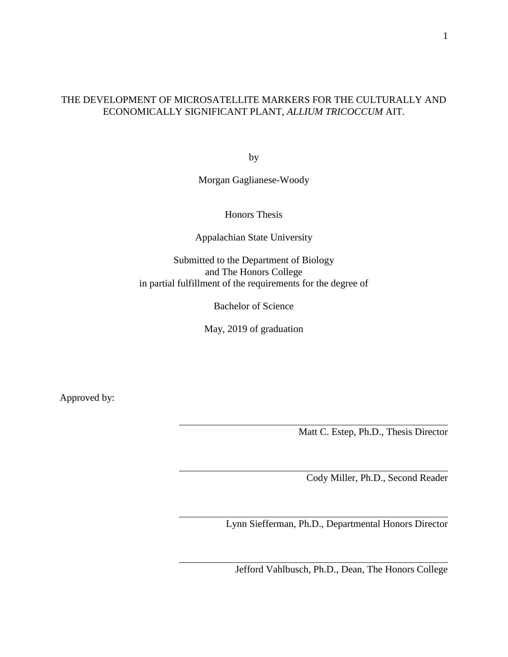# THE DEVELOPMENT OF MICROSATELLITE MARKERS FOR THE CULTURALLY AND ECONOMICALLY SIGNIFICANT PLANT, *ALLIUM TRICOCCUM* AIT.

by

Morgan Gaglianese-Woody

Honors Thesis

Appalachian State University

Submitted to the Department of Biology and The Honors College in partial fulfillment of the requirements for the degree of

Bachelor of Science

May, 2019 of graduation

Approved by:

Matt C. Estep, Ph.D., Thesis Director

Cody Miller, Ph.D., Second Reader

Lynn Siefferman, Ph.D., Departmental Honors Director

Jefford Vahlbusch, Ph.D., Dean, The Honors College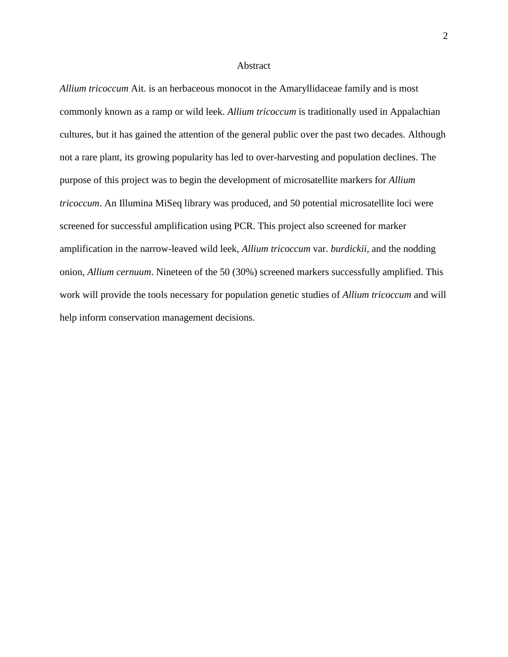### **Abstract**

*Allium tricoccum* Ait. is an herbaceous monocot in the Amaryllidaceae family and is most commonly known as a ramp or wild leek. *Allium tricoccum* is traditionally used in Appalachian cultures, but it has gained the attention of the general public over the past two decades. Although not a rare plant, its growing popularity has led to over-harvesting and population declines. The purpose of this project was to begin the development of microsatellite markers for *Allium tricoccum*. An Illumina MiSeq library was produced, and 50 potential microsatellite loci were screened for successful amplification using PCR. This project also screened for marker amplification in the narrow-leaved wild leek, *Allium tricoccum* var. *burdickii*, and the nodding onion, *Allium cernuum*. Nineteen of the 50 (30%) screened markers successfully amplified. This work will provide the tools necessary for population genetic studies of *Allium tricoccum* and will help inform conservation management decisions.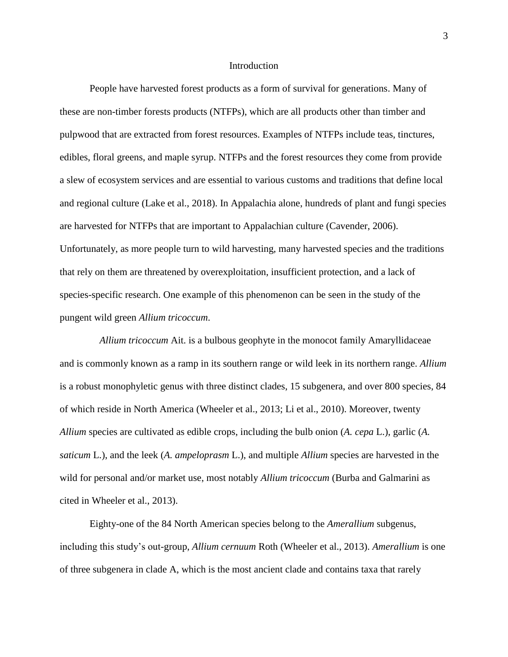### **Introduction**

People have harvested forest products as a form of survival for generations. Many of these are non-timber forests products (NTFPs), which are all products other than timber and pulpwood that are extracted from forest resources. Examples of NTFPs include teas, tinctures, edibles, floral greens, and maple syrup. NTFPs and the forest resources they come from provide a slew of ecosystem services and are essential to various customs and traditions that define local and regional culture (Lake et al., 2018). In Appalachia alone, hundreds of plant and fungi species are harvested for NTFPs that are important to Appalachian culture (Cavender, 2006). Unfortunately, as more people turn to wild harvesting, many harvested species and the traditions that rely on them are threatened by overexploitation, insufficient protection, and a lack of species-specific research. One example of this phenomenon can be seen in the study of the pungent wild green *Allium tricoccum*.

 *Allium tricoccum* Ait. is a bulbous geophyte in the monocot family Amaryllidaceae and is commonly known as a ramp in its southern range or wild leek in its northern range. *Allium*  is a robust monophyletic genus with three distinct clades, 15 subgenera, and over 800 species, 84 of which reside in North America (Wheeler et al., 2013; Li et al., 2010). Moreover, twenty *Allium* species are cultivated as edible crops, including the bulb onion (*A. cepa* L.), garlic (*A. saticum* L.), and the leek (*A. ampeloprasm* L.), and multiple *Allium* species are harvested in the wild for personal and/or market use, most notably *Allium tricoccum* (Burba and Galmarini as cited in Wheeler et al., 2013).

Eighty-one of the 84 North American species belong to the *Amerallium* subgenus, including this study's out-group, *Allium cernuum* Roth (Wheeler et al., 2013). *Amerallium* is one of three subgenera in clade A, which is the most ancient clade and contains taxa that rarely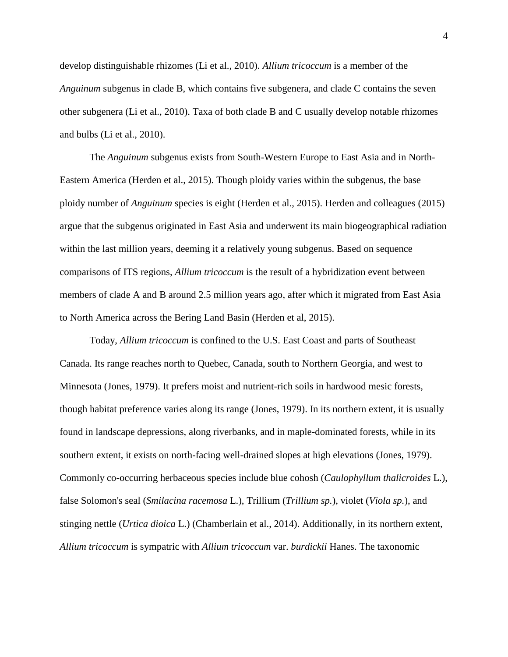develop distinguishable rhizomes (Li et al., 2010). *Allium tricoccum* is a member of the *Anguinum* subgenus in clade B, which contains five subgenera, and clade C contains the seven other subgenera (Li et al., 2010). Taxa of both clade B and C usually develop notable rhizomes and bulbs (Li et al., 2010).

The *Anguinum* subgenus exists from South-Western Europe to East Asia and in North-Eastern America (Herden et al., 2015). Though ploidy varies within the subgenus, the base ploidy number of *Anguinum* species is eight (Herden et al., 2015). Herden and colleagues (2015) argue that the subgenus originated in East Asia and underwent its main biogeographical radiation within the last million years, deeming it a relatively young subgenus. Based on sequence comparisons of ITS regions, *Allium tricoccum* is the result of a hybridization event between members of clade A and B around 2.5 million years ago, after which it migrated from East Asia to North America across the Bering Land Basin (Herden et al, 2015).

Today, *Allium tricoccum* is confined to the U.S. East Coast and parts of Southeast Canada. Its range reaches north to Quebec, Canada, south to Northern Georgia, and west to Minnesota (Jones, 1979). It prefers moist and nutrient-rich soils in hardwood mesic forests, though habitat preference varies along its range (Jones, 1979). In its northern extent, it is usually found in landscape depressions, along riverbanks, and in maple-dominated forests, while in its southern extent, it exists on north-facing well-drained slopes at high elevations (Jones, 1979). Commonly co-occurring herbaceous species include blue cohosh (*Caulophyllum thalicroides* L.), false Solomon's seal (*Smilacina racemosa* L.), Trillium (*Trillium sp.*), violet (*Viola sp.*), and stinging nettle (*Urtica dioica* L.) (Chamberlain et al., 2014). Additionally, in its northern extent, *Allium tricoccum* is sympatric with *Allium tricoccum* var. *burdickii* Hanes. The taxonomic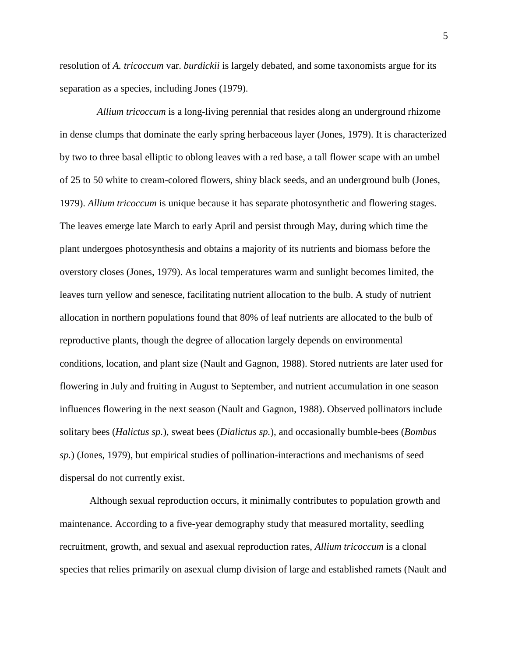resolution of *A. tricoccum* var. *burdickii* is largely debated, and some taxonomists argue for its separation as a species, including Jones (1979).

 *Allium tricoccum* is a long-living perennial that resides along an underground rhizome in dense clumps that dominate the early spring herbaceous layer (Jones, 1979). It is characterized by two to three basal elliptic to oblong leaves with a red base, a tall flower scape with an umbel of 25 to 50 white to cream-colored flowers, shiny black seeds, and an underground bulb (Jones, 1979). *Allium tricoccum* is unique because it has separate photosynthetic and flowering stages. The leaves emerge late March to early April and persist through May, during which time the plant undergoes photosynthesis and obtains a majority of its nutrients and biomass before the overstory closes (Jones, 1979). As local temperatures warm and sunlight becomes limited, the leaves turn yellow and senesce, facilitating nutrient allocation to the bulb. A study of nutrient allocation in northern populations found that 80% of leaf nutrients are allocated to the bulb of reproductive plants, though the degree of allocation largely depends on environmental conditions, location, and plant size (Nault and Gagnon, 1988). Stored nutrients are later used for flowering in July and fruiting in August to September, and nutrient accumulation in one season influences flowering in the next season (Nault and Gagnon, 1988). Observed pollinators include solitary bees (*Halictus sp.*), sweat bees (*Dialictus sp.*), and occasionally bumble-bees (*Bombus sp.*) (Jones, 1979), but empirical studies of pollination-interactions and mechanisms of seed dispersal do not currently exist.

Although sexual reproduction occurs, it minimally contributes to population growth and maintenance. According to a five-year demography study that measured mortality, seedling recruitment, growth, and sexual and asexual reproduction rates, *Allium tricoccum* is a clonal species that relies primarily on asexual clump division of large and established ramets (Nault and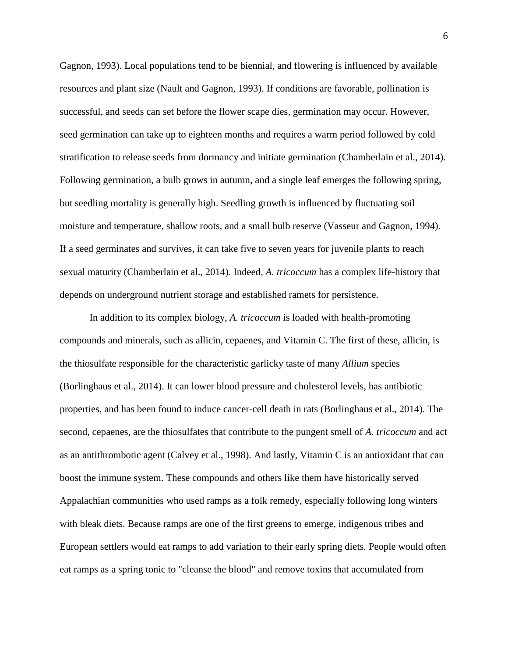Gagnon, 1993). Local populations tend to be biennial, and flowering is influenced by available resources and plant size (Nault and Gagnon, 1993). If conditions are favorable, pollination is successful, and seeds can set before the flower scape dies, germination may occur. However, seed germination can take up to eighteen months and requires a warm period followed by cold stratification to release seeds from dormancy and initiate germination (Chamberlain et al., 2014). Following germination, a bulb grows in autumn, and a single leaf emerges the following spring, but seedling mortality is generally high. Seedling growth is influenced by fluctuating soil moisture and temperature, shallow roots, and a small bulb reserve (Vasseur and Gagnon, 1994). If a seed germinates and survives, it can take five to seven years for juvenile plants to reach sexual maturity (Chamberlain et al., 2014). Indeed, *A. tricoccum* has a complex life-history that depends on underground nutrient storage and established ramets for persistence.

In addition to its complex biology, *A. tricoccum* is loaded with health-promoting compounds and minerals, such as allicin, cepaenes, and Vitamin C. The first of these, allicin, is the thiosulfate responsible for the characteristic garlicky taste of many *Allium* species (Borlinghaus et al., 2014). It can lower blood pressure and cholesterol levels, has antibiotic properties, and has been found to induce cancer-cell death in rats (Borlinghaus et al., 2014). The second, cepaenes, are the thiosulfates that contribute to the pungent smell of *A. tricoccum* and act as an antithrombotic agent (Calvey et al., 1998). And lastly, Vitamin C is an antioxidant that can boost the immune system. These compounds and others like them have historically served Appalachian communities who used ramps as a folk remedy, especially following long winters with bleak diets. Because ramps are one of the first greens to emerge, indigenous tribes and European settlers would eat ramps to add variation to their early spring diets. People would often eat ramps as a spring tonic to "cleanse the blood" and remove toxins that accumulated from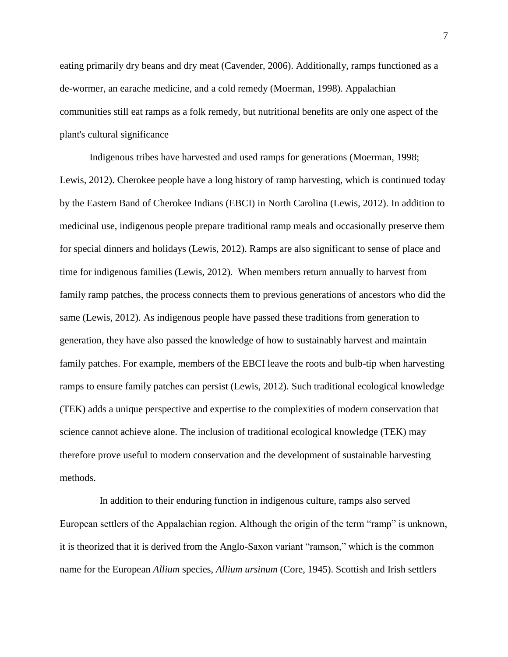eating primarily dry beans and dry meat (Cavender, 2006). Additionally, ramps functioned as a de-wormer, an earache medicine, and a cold remedy (Moerman, 1998). Appalachian communities still eat ramps as a folk remedy, but nutritional benefits are only one aspect of the plant's cultural significance

Indigenous tribes have harvested and used ramps for generations (Moerman, 1998; Lewis, 2012). Cherokee people have a long history of ramp harvesting, which is continued today by the Eastern Band of Cherokee Indians (EBCI) in North Carolina (Lewis, 2012). In addition to medicinal use, indigenous people prepare traditional ramp meals and occasionally preserve them for special dinners and holidays (Lewis, 2012). Ramps are also significant to sense of place and time for indigenous families (Lewis, 2012). When members return annually to harvest from family ramp patches, the process connects them to previous generations of ancestors who did the same (Lewis, 2012). As indigenous people have passed these traditions from generation to generation, they have also passed the knowledge of how to sustainably harvest and maintain family patches. For example, members of the EBCI leave the roots and bulb-tip when harvesting ramps to ensure family patches can persist (Lewis, 2012). Such traditional ecological knowledge (TEK) adds a unique perspective and expertise to the complexities of modern conservation that science cannot achieve alone. The inclusion of traditional ecological knowledge (TEK) may therefore prove useful to modern conservation and the development of sustainable harvesting methods.

 In addition to their enduring function in indigenous culture, ramps also served European settlers of the Appalachian region. Although the origin of the term "ramp" is unknown, it is theorized that it is derived from the Anglo-Saxon variant "ramson," which is the common name for the European *Allium* species, *Allium ursinum* (Core, 1945). Scottish and Irish settlers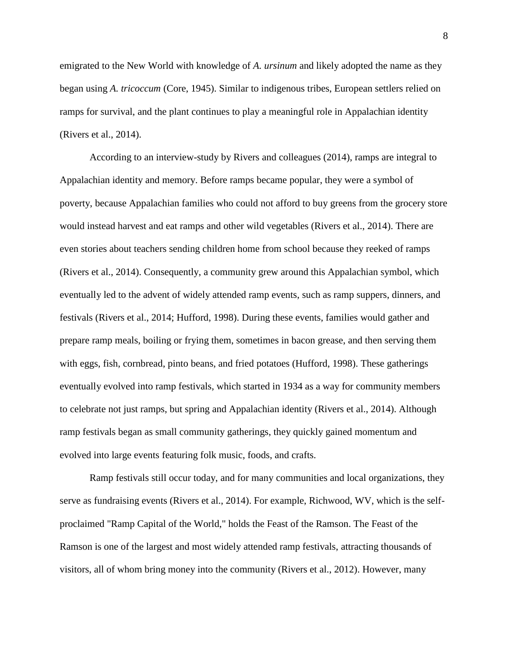emigrated to the New World with knowledge of *A. ursinum* and likely adopted the name as they began using *A. tricoccum* (Core, 1945). Similar to indigenous tribes, European settlers relied on ramps for survival, and the plant continues to play a meaningful role in Appalachian identity (Rivers et al., 2014).

According to an interview-study by Rivers and colleagues (2014), ramps are integral to Appalachian identity and memory. Before ramps became popular, they were a symbol of poverty, because Appalachian families who could not afford to buy greens from the grocery store would instead harvest and eat ramps and other wild vegetables (Rivers et al., 2014). There are even stories about teachers sending children home from school because they reeked of ramps (Rivers et al., 2014). Consequently, a community grew around this Appalachian symbol, which eventually led to the advent of widely attended ramp events, such as ramp suppers, dinners, and festivals (Rivers et al., 2014; Hufford, 1998). During these events, families would gather and prepare ramp meals, boiling or frying them, sometimes in bacon grease, and then serving them with eggs, fish, cornbread, pinto beans, and fried potatoes (Hufford, 1998). These gatherings eventually evolved into ramp festivals, which started in 1934 as a way for community members to celebrate not just ramps, but spring and Appalachian identity (Rivers et al., 2014). Although ramp festivals began as small community gatherings, they quickly gained momentum and evolved into large events featuring folk music, foods, and crafts.

Ramp festivals still occur today, and for many communities and local organizations, they serve as fundraising events (Rivers et al., 2014). For example, Richwood, WV, which is the selfproclaimed "Ramp Capital of the World," holds the Feast of the Ramson. The Feast of the Ramson is one of the largest and most widely attended ramp festivals, attracting thousands of visitors, all of whom bring money into the community (Rivers et al., 2012). However, many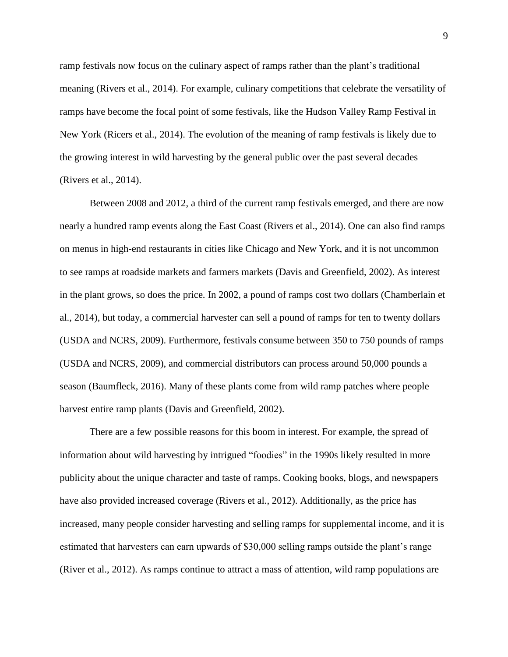ramp festivals now focus on the culinary aspect of ramps rather than the plant's traditional meaning (Rivers et al., 2014). For example, culinary competitions that celebrate the versatility of ramps have become the focal point of some festivals, like the Hudson Valley Ramp Festival in New York (Ricers et al., 2014). The evolution of the meaning of ramp festivals is likely due to the growing interest in wild harvesting by the general public over the past several decades (Rivers et al., 2014).

Between 2008 and 2012, a third of the current ramp festivals emerged, and there are now nearly a hundred ramp events along the East Coast (Rivers et al., 2014). One can also find ramps on menus in high-end restaurants in cities like Chicago and New York, and it is not uncommon to see ramps at roadside markets and farmers markets (Davis and Greenfield, 2002). As interest in the plant grows, so does the price. In 2002, a pound of ramps cost two dollars (Chamberlain et al., 2014), but today, a commercial harvester can sell a pound of ramps for ten to twenty dollars (USDA and NCRS, 2009). Furthermore, festivals consume between 350 to 750 pounds of ramps (USDA and NCRS, 2009), and commercial distributors can process around 50,000 pounds a season (Baumfleck, 2016). Many of these plants come from wild ramp patches where people harvest entire ramp plants (Davis and Greenfield, 2002).

There are a few possible reasons for this boom in interest. For example, the spread of information about wild harvesting by intrigued "foodies" in the 1990s likely resulted in more publicity about the unique character and taste of ramps. Cooking books, blogs, and newspapers have also provided increased coverage (Rivers et al., 2012). Additionally, as the price has increased, many people consider harvesting and selling ramps for supplemental income, and it is estimated that harvesters can earn upwards of \$30,000 selling ramps outside the plant's range (River et al., 2012). As ramps continue to attract a mass of attention, wild ramp populations are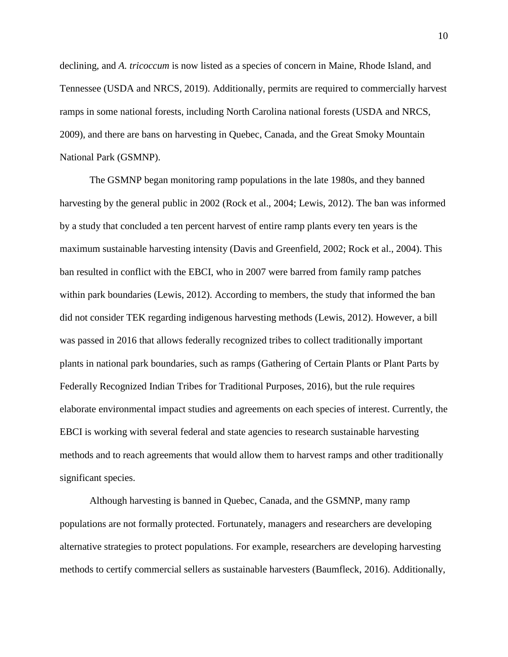declining, and *A. tricoccum* is now listed as a species of concern in Maine, Rhode Island, and Tennessee (USDA and NRCS, 2019). Additionally, permits are required to commercially harvest ramps in some national forests, including North Carolina national forests (USDA and NRCS, 2009), and there are bans on harvesting in Quebec, Canada, and the Great Smoky Mountain National Park (GSMNP).

The GSMNP began monitoring ramp populations in the late 1980s, and they banned harvesting by the general public in 2002 (Rock et al., 2004; Lewis, 2012). The ban was informed by a study that concluded a ten percent harvest of entire ramp plants every ten years is the maximum sustainable harvesting intensity (Davis and Greenfield, 2002; Rock et al., 2004). This ban resulted in conflict with the EBCI, who in 2007 were barred from family ramp patches within park boundaries (Lewis, 2012). According to members, the study that informed the ban did not consider TEK regarding indigenous harvesting methods (Lewis, 2012). However, a bill was passed in 2016 that allows federally recognized tribes to collect traditionally important plants in national park boundaries, such as ramps (Gathering of Certain Plants or Plant Parts by Federally Recognized Indian Tribes for Traditional Purposes, 2016), but the rule requires elaborate environmental impact studies and agreements on each species of interest. Currently, the EBCI is working with several federal and state agencies to research sustainable harvesting methods and to reach agreements that would allow them to harvest ramps and other traditionally significant species.

Although harvesting is banned in Quebec, Canada, and the GSMNP, many ramp populations are not formally protected. Fortunately, managers and researchers are developing alternative strategies to protect populations. For example, researchers are developing harvesting methods to certify commercial sellers as sustainable harvesters (Baumfleck, 2016). Additionally,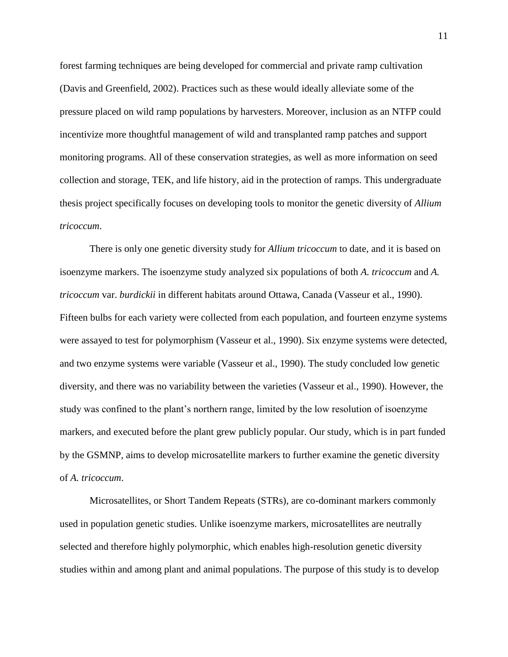forest farming techniques are being developed for commercial and private ramp cultivation (Davis and Greenfield, 2002). Practices such as these would ideally alleviate some of the pressure placed on wild ramp populations by harvesters. Moreover, inclusion as an NTFP could incentivize more thoughtful management of wild and transplanted ramp patches and support monitoring programs. All of these conservation strategies, as well as more information on seed collection and storage, TEK, and life history, aid in the protection of ramps. This undergraduate thesis project specifically focuses on developing tools to monitor the genetic diversity of *Allium tricoccum*.

There is only one genetic diversity study for *Allium tricoccum* to date, and it is based on isoenzyme markers. The isoenzyme study analyzed six populations of both *A. tricoccum* and *A. tricoccum* var. *burdickii* in different habitats around Ottawa, Canada (Vasseur et al., 1990). Fifteen bulbs for each variety were collected from each population, and fourteen enzyme systems were assayed to test for polymorphism (Vasseur et al., 1990). Six enzyme systems were detected, and two enzyme systems were variable (Vasseur et al., 1990). The study concluded low genetic diversity, and there was no variability between the varieties (Vasseur et al., 1990). However, the study was confined to the plant's northern range, limited by the low resolution of isoenzyme markers, and executed before the plant grew publicly popular. Our study, which is in part funded by the GSMNP, aims to develop microsatellite markers to further examine the genetic diversity of *A. tricoccum*.

Microsatellites, or Short Tandem Repeats (STRs), are co-dominant markers commonly used in population genetic studies. Unlike isoenzyme markers, microsatellites are neutrally selected and therefore highly polymorphic, which enables high-resolution genetic diversity studies within and among plant and animal populations. The purpose of this study is to develop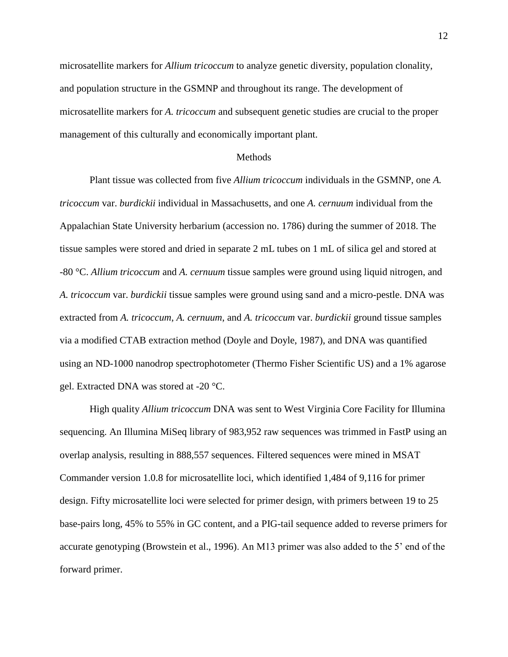microsatellite markers for *Allium tricoccum* to analyze genetic diversity, population clonality, and population structure in the GSMNP and throughout its range. The development of microsatellite markers for *A. tricoccum* and subsequent genetic studies are crucial to the proper management of this culturally and economically important plant.

## Methods

Plant tissue was collected from five *Allium tricoccum* individuals in the GSMNP, one *A. tricoccum* var. *burdickii* individual in Massachusetts, and one *A. cernuum* individual from the Appalachian State University herbarium (accession no. 1786) during the summer of 2018. The tissue samples were stored and dried in separate 2 mL tubes on 1 mL of silica gel and stored at -80 °C. *Allium tricoccum* and *A. cernuum* tissue samples were ground using liquid nitrogen, and *A. tricoccum* var. *burdickii* tissue samples were ground using sand and a micro-pestle. DNA was extracted from *A. tricoccum*, *A. cernuum*, and *A. tricoccum* var. *burdickii* ground tissue samples via a modified CTAB extraction method (Doyle and Doyle, 1987), and DNA was quantified using an ND-1000 nanodrop spectrophotometer (Thermo Fisher Scientific US) and a 1% agarose gel. Extracted DNA was stored at -20 °C.

High quality *Allium tricoccum* DNA was sent to West Virginia Core Facility for Illumina sequencing. An Illumina MiSeq library of 983,952 raw sequences was trimmed in FastP using an overlap analysis, resulting in 888,557 sequences. Filtered sequences were mined in MSAT Commander version 1.0.8 for microsatellite loci, which identified 1,484 of 9,116 for primer design. Fifty microsatellite loci were selected for primer design, with primers between 19 to 25 base-pairs long, 45% to 55% in GC content, and a PIG-tail sequence added to reverse primers for accurate genotyping (Browstein et al., 1996). An M13 primer was also added to the 5' end of the forward primer.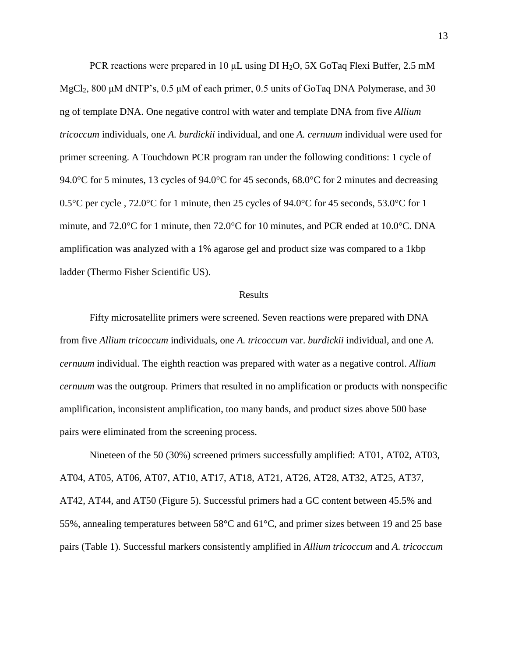PCR reactions were prepared in 10 μL using DI H2O, 5X GoTaq Flexi Buffer, 2.5 mM MgCl<sub>2</sub>, 800 μM dNTP's,  $0.5 \mu M$  of each primer,  $0.5$  units of GoTaq DNA Polymerase, and 30 ng of template DNA. One negative control with water and template DNA from five *Allium tricoccum* individuals, one *A. burdickii* individual, and one *A. cernuum* individual were used for primer screening. A Touchdown PCR program ran under the following conditions: 1 cycle of 94.0°C for 5 minutes, 13 cycles of 94.0°C for 45 seconds, 68.0°C for 2 minutes and decreasing 0.5°C per cycle , 72.0°C for 1 minute, then 25 cycles of 94.0°C for 45 seconds, 53.0°C for 1 minute, and 72.0°C for 1 minute, then 72.0°C for 10 minutes, and PCR ended at 10.0°C. DNA amplification was analyzed with a 1% agarose gel and product size was compared to a 1kbp ladder (Thermo Fisher Scientific US).

#### Results

Fifty microsatellite primers were screened. Seven reactions were prepared with DNA from five *Allium tricoccum* individuals, one *A. tricoccum* var. *burdickii* individual, and one *A. cernuum* individual. The eighth reaction was prepared with water as a negative control. *Allium cernuum* was the outgroup. Primers that resulted in no amplification or products with nonspecific amplification, inconsistent amplification, too many bands, and product sizes above 500 base pairs were eliminated from the screening process.

Nineteen of the 50 (30%) screened primers successfully amplified: AT01, AT02, AT03, AT04, AT05, AT06, AT07, AT10, AT17, AT18, AT21, AT26, AT28, AT32, AT25, AT37, AT42, AT44, and AT50 (Figure 5). Successful primers had a GC content between 45.5% and 55%, annealing temperatures between 58°C and 61°C, and primer sizes between 19 and 25 base pairs (Table 1). Successful markers consistently amplified in *Allium tricoccum* and *A. tricoccum*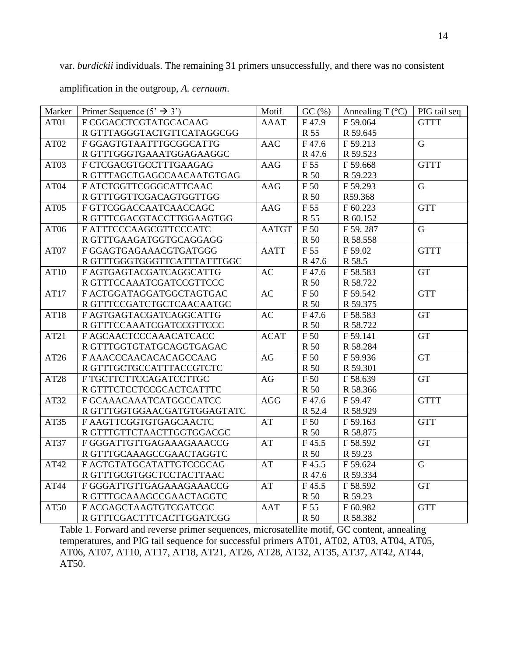var. *burdickii* individuals. The remaining 31 primers unsuccessfully, and there was no consistent amplification in the outgroup, *A. cernuum*.

| Marker           | Primer Sequence $(5' \rightarrow 3')$ | Motif        | GC (%)      | Annealing T $(^{\circ}C)$ | PIG tail seq |
|------------------|---------------------------------------|--------------|-------------|---------------------------|--------------|
| AT01             | F CGGACCTCGTATGCACAAG                 | <b>AAAT</b>  | F47.9       | F 59.064                  | <b>GTTT</b>  |
|                  | R GTTTAGGGTACTGTTCATAGGCGG            |              | R 55        | R 59.645                  |              |
| AT <sub>02</sub> | F GGAGTGTAATTTGCGGCATTG               | <b>AAC</b>   | F47.6       | F 59.213                  | $\mathbf G$  |
|                  | R GTTTGGGTGAAATGGAGAAGGC              |              | R 47.6      | R 59.523                  |              |
| AT03             | F CTCGACGTGCCTTTGAAGAG                | AAG          | F 55        | F 59.668                  | <b>GTTT</b>  |
|                  | R GTTTAGCTGAGCCAACAATGTGAG            |              | R 50        | R 59.223                  |              |
| AT04             | F ATCTGGTTCGGGCATTCAAC                | <b>AAG</b>   | F 50        | F 59.293                  | $\mathbf G$  |
|                  | R GTTTGGTTCGACAGTGGTTGG               |              | R 50        | R59.368                   |              |
| AT05             | F GTTCGGACCAATCAACCAGC                | AAG          | F 55        | F 60.223                  | <b>GTT</b>   |
|                  | R GTTTCGACGTACCTTGGAAGTGG             |              | R 55        | R 60.152                  |              |
| AT06             | F ATTTCCCAAGCGTTCCCATC                | <b>AATGT</b> | F 50        | F 59.287                  | $\mathbf G$  |
|                  | R GTTTGAAGATGGTGCAGGAGG               |              | <b>R</b> 50 | R 58.558                  |              |
| AT07             | F GGAGTGAGAAACGTGATGGG                | <b>AATT</b>  | F 55        | F 59.02                   | <b>GTTT</b>  |
|                  | R GTTTGGGTGGGTTCATTTATTTGGC           |              | R 47.6      | R 58.5                    |              |
| AT10             | F AGTGAGTACGATCAGGCATTG               | AC           | F47.6       | F 58.583                  | <b>GT</b>    |
|                  | R GTTTCCAAATCGATCCGTTCCC              |              | R 50        | R 58.722                  |              |
| AT17             | F ACTGGATAGGATGGCTAGTGAC              | AC           | F 50        | F 59.542                  | <b>GTT</b>   |
|                  | R GTTTCCGATCTGCTCAACAATGC             |              | R 50        | R 59.375                  |              |
| AT18             | F AGTGAGTACGATCAGGCATTG               | <b>AC</b>    | F47.6       | F 58.583                  | <b>GT</b>    |
|                  | R GTTTCCAAATCGATCCGTTCCC              |              | R 50        | R 58.722                  |              |
| AT21             | F AGCAACTCCCAAACATCACC                | <b>ACAT</b>  | F 50        | F 59.141                  | <b>GT</b>    |
|                  | R GTTTGGTGTATGCAGGTGAGAC              |              | R 50        | R 58.284                  |              |
| AT26             | F AAACCCAACACACAGCCAAG                | AG           | F 50        | F 59.936                  | <b>GT</b>    |
|                  | R GTTTGCTGCCATTTACCGTCTC              |              | R 50        | R 59.301                  |              |
| AT28             | F TGCTTCTTCCAGATCCTTGC                | AG           | F 50        | F 58.639                  | <b>GT</b>    |
|                  | R GTTTCTCCTCCGCACTCATTTC              |              | R 50        | R 58.366                  |              |
| AT32             | F GCAAACAAATCATGGCCATCC               | <b>AGG</b>   | F47.6       | F 59.47                   | <b>GTTT</b>  |
|                  | R GTTTGGTGGAACGATGTGGAGTATC           |              | R 52.4      | R 58.929                  |              |
| AT35             | F AAGTTCGGTGTGAGCAACTC                | AT           | F 50        | F 59.163                  | <b>GTT</b>   |
|                  | R GTTTGTTCTAACTTGGTGGACGC             |              | R 50        | R 58.875                  |              |
| AT37             | F GGGATTGTTGAGAAAGAAACCG              | AT           | F45.5       | F 58.592                  | <b>GT</b>    |
|                  | R GTTTGCAAAGCCGAACTAGGTC              |              | R 50        | R 59.23                   |              |
| AT42             | F AGTGTATGCATATTGTCCGCAG              | AT           | F45.5       | F 59.624                  | $\mathbf G$  |
|                  | R GTTTGCGTGGCTCCTACTTAAC              |              | R 47.6      | R 59.334                  |              |
| AT44             | F GGGATTGTTGAGAAAGAAACCG              | AT           | F45.5       | F 58.592                  | <b>GT</b>    |
|                  | R GTTTGCAAAGCCGAACTAGGTC              |              | R 50        | R 59.23                   |              |
| AT50             | F ACGAGCTAAGTGTCGATCGC                | <b>AAT</b>   | F 55        | F 60.982                  | <b>GTT</b>   |
|                  | R GTTTCGACTTTCACTTGGATCGG             |              | R 50        | R 58.382                  |              |

Table 1. Forward and reverse primer sequences, microsatellite motif, GC content, annealing temperatures, and PIG tail sequence for successful primers AT01, AT02, AT03, AT04, AT05, AT06, AT07, AT10, AT17, AT18, AT21, AT26, AT28, AT32, AT35, AT37, AT42, AT44, AT50.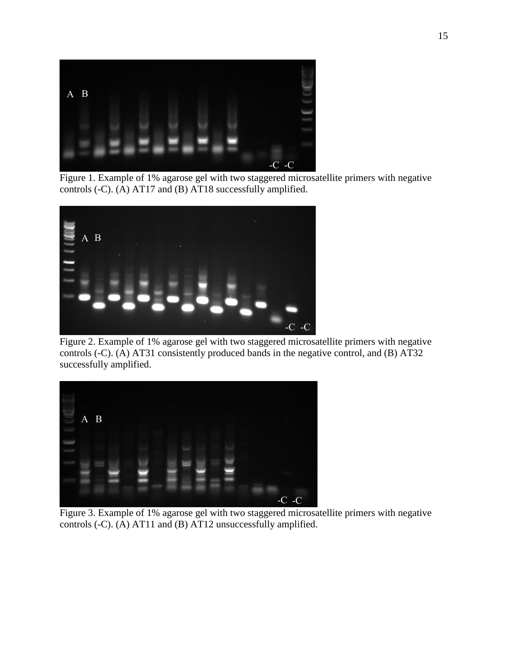

Figure 1. Example of 1% agarose gel with two staggered microsatellite primers with negative controls (-C). (A) AT17 and (B) AT18 successfully amplified.



Figure 2. Example of 1% agarose gel with two staggered microsatellite primers with negative controls (-C). (A) AT31 consistently produced bands in the negative control, and (B) AT32 successfully amplified.



Figure 3. Example of 1% agarose gel with two staggered microsatellite primers with negative controls (-C). (A) AT11 and (B) AT12 unsuccessfully amplified.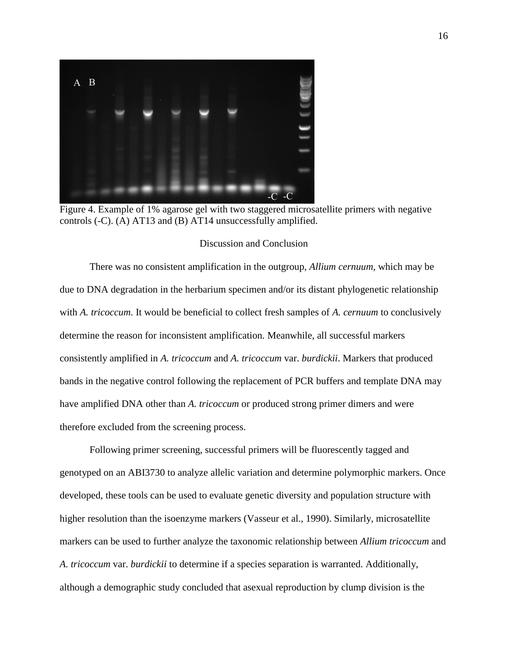

Figure 4. Example of 1% agarose gel with two staggered microsatellite primers with negative controls (-C). (A) AT13 and (B) AT14 unsuccessfully amplified.

## Discussion and Conclusion

There was no consistent amplification in the outgroup, *Allium cernuum*, which may be due to DNA degradation in the herbarium specimen and/or its distant phylogenetic relationship with *A. tricoccum*. It would be beneficial to collect fresh samples of *A. cernuum* to conclusively determine the reason for inconsistent amplification. Meanwhile, all successful markers consistently amplified in *A. tricoccum* and *A. tricoccum* var. *burdickii*. Markers that produced bands in the negative control following the replacement of PCR buffers and template DNA may have amplified DNA other than *A. tricoccum* or produced strong primer dimers and were therefore excluded from the screening process.

Following primer screening, successful primers will be fluorescently tagged and genotyped on an ABI3730 to analyze allelic variation and determine polymorphic markers. Once developed, these tools can be used to evaluate genetic diversity and population structure with higher resolution than the isoenzyme markers (Vasseur et al., 1990). Similarly, microsatellite markers can be used to further analyze the taxonomic relationship between *Allium tricoccum* and *A. tricoccum* var. *burdickii* to determine if a species separation is warranted. Additionally, although a demographic study concluded that asexual reproduction by clump division is the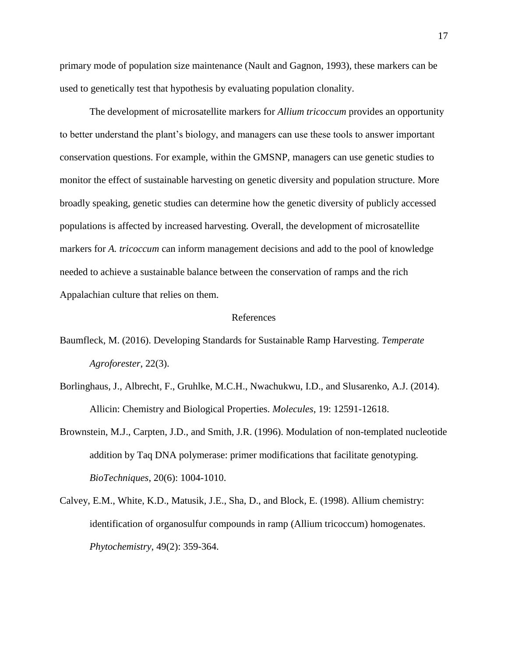primary mode of population size maintenance (Nault and Gagnon, 1993), these markers can be used to genetically test that hypothesis by evaluating population clonality.

The development of microsatellite markers for *Allium tricoccum* provides an opportunity to better understand the plant's biology, and managers can use these tools to answer important conservation questions. For example, within the GMSNP, managers can use genetic studies to monitor the effect of sustainable harvesting on genetic diversity and population structure. More broadly speaking, genetic studies can determine how the genetic diversity of publicly accessed populations is affected by increased harvesting. Overall, the development of microsatellite markers for *A. tricoccum* can inform management decisions and add to the pool of knowledge needed to achieve a sustainable balance between the conservation of ramps and the rich Appalachian culture that relies on them.

## References

- Baumfleck, M. (2016). Developing Standards for Sustainable Ramp Harvesting. *Temperate Agroforester*, 22(3).
- Borlinghaus, J., Albrecht, F., Gruhlke, M.C.H., Nwachukwu, I.D., and Slusarenko, A.J. (2014). Allicin: Chemistry and Biological Properties. *Molecules*, 19: 12591-12618.
- Brownstein, M.J., Carpten, J.D., and Smith, J.R. (1996). Modulation of non-templated nucleotide addition by Taq DNA polymerase: primer modifications that facilitate genotyping. *BioTechniques*, 20(6): 1004-1010.
- Calvey, E.M., White, K.D., Matusik, J.E., Sha, D., and Block, E. (1998). Allium chemistry: identification of organosulfur compounds in ramp (Allium tricoccum) homogenates. *Phytochemistry*, 49(2): 359-364.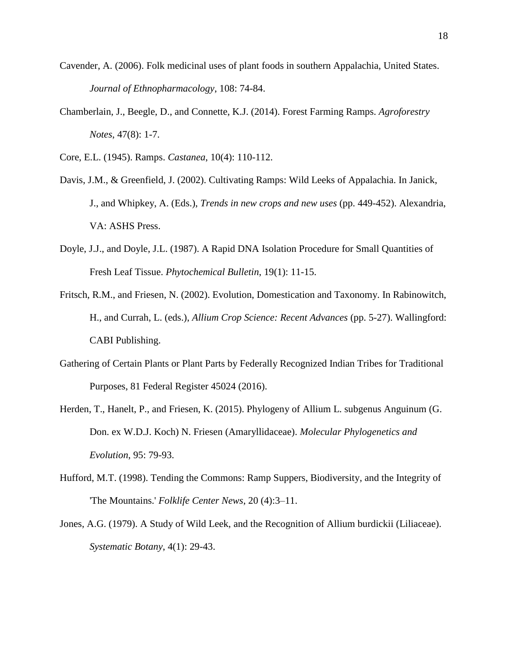- Cavender, A. (2006). Folk medicinal uses of plant foods in southern Appalachia, United States. *Journal of Ethnopharmacology*, 108: 74-84.
- Chamberlain, J., Beegle, D., and Connette, K.J. (2014). Forest Farming Ramps. *Agroforestry Notes*, 47(8): 1-7.
- Core, E.L. (1945). Ramps. *Castanea*, 10(4): 110-112.
- Davis, J.M., & Greenfield, J. (2002). Cultivating Ramps: Wild Leeks of Appalachia. In Janick, J., and Whipkey, A. (Eds.), *Trends in new crops and new uses* (pp. 449-452). Alexandria, VA: ASHS Press.
- Doyle, J.J., and Doyle, J.L. (1987). A Rapid DNA Isolation Procedure for Small Quantities of Fresh Leaf Tissue. *Phytochemical Bulletin*, 19(1): 11-15.
- Fritsch, R.M., and Friesen, N. (2002). Evolution, Domestication and Taxonomy. In Rabinowitch, H., and Currah, L. (eds.), *Allium Crop Science: Recent Advances* (pp. 5-27). Wallingford: CABI Publishing.
- Gathering of Certain Plants or Plant Parts by Federally Recognized Indian Tribes for Traditional Purposes, 81 Federal Register 45024 (2016).
- Herden, T., Hanelt, P., and Friesen, K. (2015). Phylogeny of Allium L. subgenus Anguinum (G. Don. ex W.D.J. Koch) N. Friesen (Amaryllidaceae). *Molecular Phylogenetics and Evolution*, 95: 79-93.
- Hufford, M.T. (1998). Tending the Commons: Ramp Suppers, Biodiversity, and the Integrity of 'The Mountains.' *Folklife Center News*, 20 (4):3–11.
- Jones, A.G. (1979). A Study of Wild Leek, and the Recognition of Allium burdickii (Liliaceae). *Systematic Botany*, 4(1): 29-43.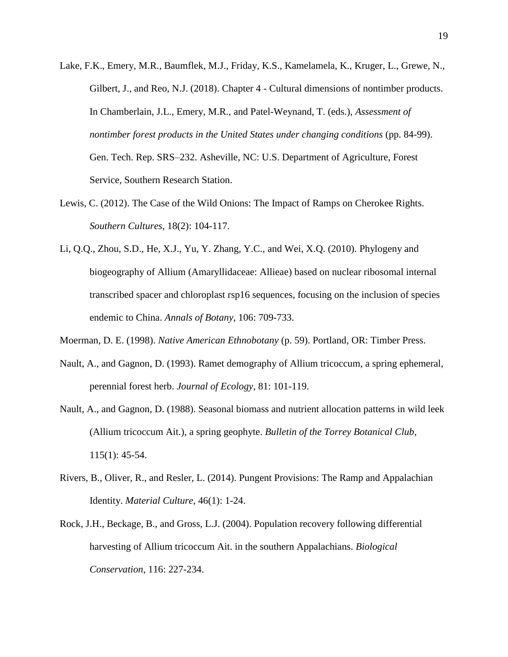- Lake, F.K., Emery, M.R., Baumflek, M.J., Friday, K.S., Kamelamela, K., Kruger, L., Grewe, N., Gilbert, J., and Reo, N.J. (2018). Chapter 4 - Cultural dimensions of nontimber products. In Chamberlain, J.L., Emery, M.R., and Patel-Weynand, T. (eds.), *Assessment of nontimber forest products in the United States under changing conditions* (pp. 84-99). Gen. Tech. Rep. SRS–232. Asheville, NC: U.S. Department of Agriculture, Forest Service, Southern Research Station.
- Lewis, C. (2012). The Case of the Wild Onions: The Impact of Ramps on Cherokee Rights. *Southern Cultures*, 18(2): 104-117.
- Li, Q.Q., Zhou, S.D., He, X.J., Yu, Y. Zhang, Y.C., and Wei, X.Q. (2010). Phylogeny and biogeography of Allium (Amaryllidaceae: Allieae) based on nuclear ribosomal internal transcribed spacer and chloroplast rsp16 sequences, focusing on the inclusion of species endemic to China. *Annals of Botany*, 106: 709-733.
- Moerman, D. E. (1998). *Native American Ethnobotany* (p. 59). Portland, OR: Timber Press.
- Nault, A., and Gagnon, D. (1993). Ramet demography of Allium tricoccum, a spring ephemeral, perennial forest herb. *Journal of Ecology*, 81: 101-119.
- Nault, A., and Gagnon, D. (1988). Seasonal biomass and nutrient allocation patterns in wild leek (Allium tricoccum Ait.), a spring geophyte. *Bulletin of the Torrey Botanical Club*, 115(1): 45-54.
- Rivers, B., Oliver, R., and Resler, L. (2014). Pungent Provisions: The Ramp and Appalachian Identity. *Material Culture*, 46(1): 1-24.
- Rock, J.H., Beckage, B., and Gross, L.J. (2004). Population recovery following differential harvesting of Allium tricoccum Ait. in the southern Appalachians. *Biological Conservation*, 116: 227-234.